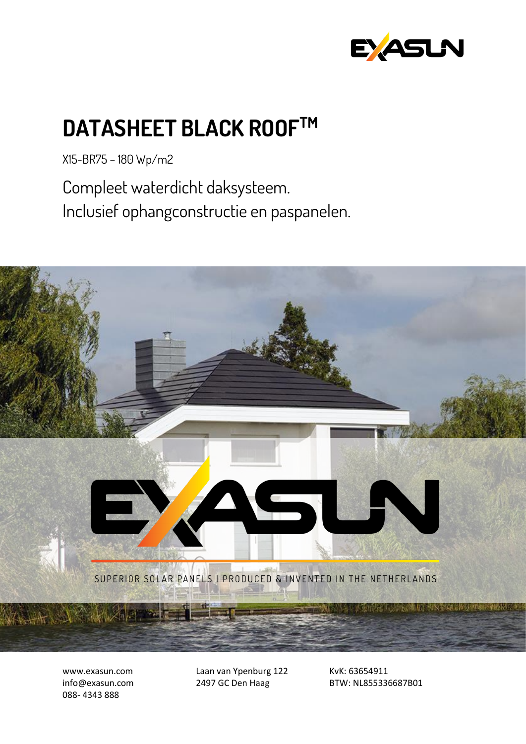

## **DATASHEET BLACK ROOFTM**

X15-BR75 – 180 Wp/m2

Compleet waterdicht daksysteem. Inclusief ophangconstructie en paspanelen.



www.exasun.com info@exasun.com 088- 4343 888

Laan van Ypenburg 122 2497 GC Den Haag

KvK: 63654911 BTW: NL855336687B01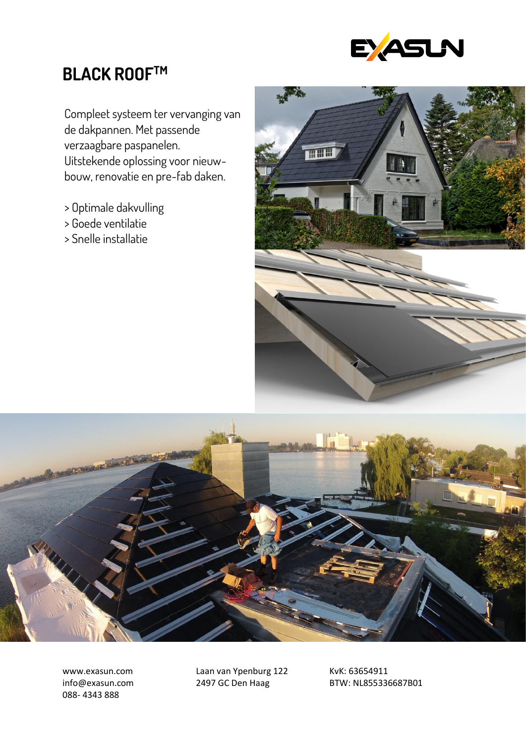

## **BLACK ROOFTM**

Compleet systeem ter vervanging van de dakpannen. Met passende verzaagbare paspanelen. Uitstekende oplossing voor nieuwbouw, renovatie en pre-fab daken.

- > Optimale dakvulling
- > Goede ventilatie
- > Snelle installatie

![](_page_1_Picture_6.jpeg)

![](_page_1_Picture_7.jpeg)

www.exasun.com info@exasun.com 088- 4343 888

Laan van Ypenburg 122 2497 GC Den Haag

KvK: 63654911 BTW: NL855336687B01